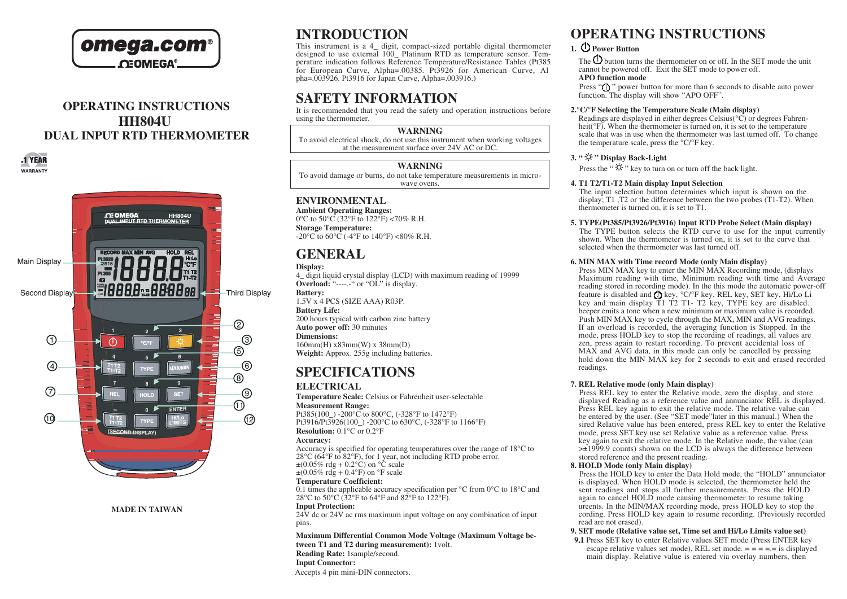

# **OPERATING INSTRUCTIONS HH804U DUAL INPUT RTD THERMOMETER**



**MADE IN TAIWAN**

# **INTRODUCTION**

This instrument is a 4\_ digit, compact-sized portable digital thermometer designed to use external 100 Platinum RTD as temperature sensor. Temperature indication follows Reference Temperature/Resistance Tables (Pt385 for European Curve, Alpha=.00385. Pt3926 for American Curve, Al  $pha=0.03926$ . Pt3916 for Japan Curve, Alpha= $.003916.$ ).

# **SAFETY INFORMATION**

It is recommended that you read the safety and operation instructions before using the thermometer.

#### **WARNING**

To avoid electrical shock, do not use this instrument when working voltages at the measurement surface over 24V AC or DC.

# **WARNING**

To avoid damage or burns, do not take temperature measurements in microwave ovens.

# **ENVIRONMENTAL**

**Ambient Operating Ranges:** 0 $^{\circ}$ C to 50 $^{\circ}$ C (32 $^{\circ}$ F to 122 $^{\circ}$ F) <70% R.H. **Storage Temperature:** -20 $^{\circ}$ C to 60 $^{\circ}$ C (-4 $^{\circ}$ F to 140 $^{\circ}$ F) <80% R.H.

# **GENERAL**

**Display:** 4\_ digit liquid crystal display (LCD) with maximum reading of 19999 **Overload:** "------" or "OL" is display. **Battery:** 1.5V x 4 PCS (SIZE AAA) R03P. **Battery Life:** 200 hours typical with carbon zinc battery **Auto power off:** 30 minutes **Dimensions:** 160mm(H) x83mm(W) x 38mm(D) **Weight:** Approx. 255g including batteries.

# **SPECIFICATIONS**

# **ELECTRICAL**

**Temperature Scale:** Celsius or Fahrenheit user-selectable **Measurement Range:** Pt385(100) -200°C to 800°C, (-328°F to 1472°F)

Pt3916/Pt3926(100) -200°C to 630°C, (-328°F to 1166°F) **Resolution:** 0.1°C or 0.2°F

#### **Accuracy:**

Accuracy is specified for operating temperatures over the range of 18°C to 28°C (64°F to 82°F), for 1 year, not including RTD probe error.  $\pm (0.05\% \text{ rde} + 0.2\degree \text{C})$  on  $\degree \text{C}$  scale  $\pm (0.05\% \text{ rdg} + 0.4\degree \text{F})$  on  $\degree \text{F scale}$ 

#### **Temperature Coefficient:**

0.1 times the applicable accuracy specification per °C from 0°C to 18°C and 28 $\rm{^{\circ}C}$  to 50 $\rm{^{\circ}C}$  (32 $\rm{^{\circ}F}$  to 64 $\rm{^{\circ}F}$  and 82 $\rm{^{\circ}F}$  to 122 $\rm{^{\circ}F}$ ).

# **Input Protection:**

 $24V$  dc or  $24V$  ac rms maximum input voltage on any combination of input pins.

**Maximum Differential Common Mode Voltage (Maximum Voltage between T1 and T2 during measurement):** 1volt. **Reading Rate:** 1sample/second. **Input Connector:**

Accepts 4 pin mini-DIN connectors.

# **OPERATING INSTRUCTIONS**

# **1. Power Button**

The  $\Phi$  button turns the thermometer on or off. In the SET mode the unit cannot be powered off. Exit the SET mode to power off.

# **APO function mode**

Press "(1)" power button for more than 6 seconds to disable auto power function. The display will show "APO OFF".

### **2.°C/°F Selecting the Temperature Scale (Main display)**

Readings are displayed in either degrees Celsius(°C) or degrees Fahrenheit( ${}^{\circ}$ F). When the thermometer is turned on, it is set to the temperature scale that was in use when the thermometer was last turned off. To change the temperature scale, press the °C/°F key.

# 3. "  $\varphi$  " Display Back-Light

Press the " $\ddot{\varphi}$ " key to turn on or turn off the back light.

# **4. T1 T2/T1-T2 Main display Input Selection**

The input selection button determines which input is shown on the display; T1 ,T2 or the difference between the two probes (T1-T2). When thermometer is turned on, it is set to T1.

# **5. TYPE(Pt385/Pt3926/Pt3916) Input RTD Probe Select (Main display)**

The TYPE button selects the RTD curve to use for the input currently shown. When the thermometer is turned on, it is set to the curve that selected when the thermometer was last turned off.

# **6. MIN MAX with Time record Mode (only Main display)**

Press MIN MAX key to enter the MIN MAX Recording mode, (displays Maximum reading with time, Minimum reading with time and Average reading stored in recording mode). In the this mode the automatic power-off feature is disabled and  $\overline{O}$  key, °C/°F key, REL key, SET key, Hi/Lo Li key and main display T1 T2 T1- T2 key, TYPE key are disabled. beeper emits a tone when a new minimum or maximum value is recorded. Push MIN MAX key to cycle through the MAX, MIN and AVG readings. If an overload is recorded, the averaging function is Stopped. In the mode, press HOLD key to stop the recording of readings, all values are zen, press again to restart recording. To prevent accidental loss of  $MAX$  and  $\overline{AVG}$  data, in this mode can only be cancelled by pressing hold down the MIN MAX key for 2 seconds to exit and erased recorded readings.

#### **7. REL Relative mode (only Main display)**

Press REL key to enter the Relative mode, zero the display, and store displayed Reading as a reference value and annunciator REL is displayed. Press REL key again to exit the relative mode. The relative value can be entered by the user. (See "SET mode"later in this manual.) When the sired Relative value has been entered, press REL key to enter the Relative mode, press SET key use set Relative value as a reference value. Press key again to exit the relative mode. In the Relative mode, the value (can >±1999.9 counts) shown on the LCD is always the difference between stored reference and the present reading.

# **8. HOLD Mode (only Main display)**

Press the HOLD key to enter the Data Hold mode, the "HOLD" annunciator is displayed. When HOLD mode is selected, the thermometer held the sent readings and stops all further measurements. Press the HOLD again to cancel HOLD mode causing thermometer to resume taking ureents. In the MIN/MAX recording mode, press HOLD key to stop the cording. Press HOLD key again to resume recording. (Previously recorded read are not erased).

# **9. SET mode (Relative value set, Time set and Hi/Lo Limits value set)**

**9.1** Press SET key to enter Relative values SET mode (Press ENTER key escape relative values set mode), REL set mode.  $=$  =  $=$   $=$   $=$   $=$   $=$  is displayed main display. Relative value is entered via overlay numbers, then